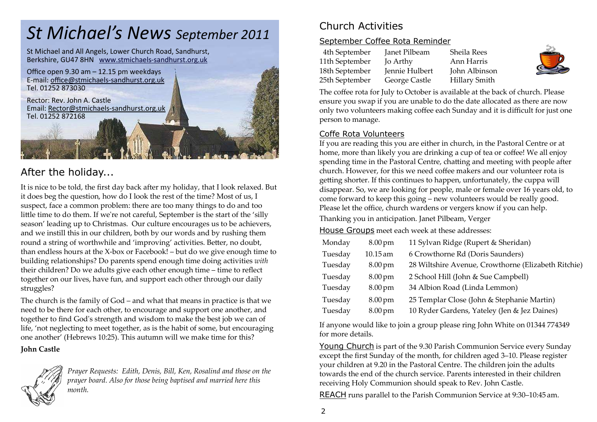# *St Michael's News September 2011*

St Michael and All Angels, Lower Church Road, Sandhurst, Berkshire, GU47 8HN www.stmichaels-sandhurst.org.uk



## After the holiday...

It is nice to be told, the first day back after my holiday, that I look relaxed. But it does beg the question, how do I look the rest of the time? Most of us, I suspect, face a common problem: there are too many things to do and too little time to do them. If we're not careful, September is the start of the 'silly season' leading up to Christmas. Our culture encourages us to be achievers, and we instill this in our children, both by our words and by rushing them round a string of worthwhile and 'improving' activities. Better, no doubt, than endless hours at the X-box or Facebook! – but do we give enough time to building relationships? Do parents spend enough time doing activities *with*their children? Do we adults give each other enough time – time to reflect together on our lives, have fun, and support each other through our daily struggles?

The church is the family of God – and what that means in practice is that we need to be there for each other, to encourage and support one another, and together to find Godʹs strength and wisdom to make the best job we can of life, 'not neglecting to meet together, as is the habit of some, but encouraging one another' (Hebrews 10:25). This autumn will we make time for this?

#### **John Castle**



*Prayer Requests: Edith, Denis, Bill, Ken, Rosalind and those on the prayer board. Also for those being baptised and married here this month.* 

## Church Activities

#### September Coffee Rota Reminder

| 4th September  | Janet Pilbeam  | Sheila Rees          |
|----------------|----------------|----------------------|
| 11th September | Jo Arthy       | Ann Harris           |
| 18th September | Jennie Hulbert | John Albinson        |
| 25th September | George Castle  | <b>Hillary Smith</b> |

The coffee rota for July to October is available at the back of church. Please ensure you swap if you are unable to do the date allocated as there are now only two volunteers making coffee each Sunday and it is difficult for just one person to manage.

#### Coffe Rota Volunteers

 If you are reading this you are either in church, in the Pastoral Centre or at home, more than likely you are drinking a cup of tea or coffee! We all enjoy spending time in the Pastoral Centre, chatting and meeting with people after church. However, for this we need coffee makers and our volunteer rota is getting shorter. If this continues to happen, unfortunately, the cuppa will disappear. So, we are looking for people, male or female over 16 years old, to come forward to keep this going – new volunteers would be really good. Please let the office, church wardens or vergers know if you can help. Thanking you in anticipation. Janet Pilbeam, Verger

House Groups meet each week at these addresses:

| Monday  | $8.00 \,\mathrm{pm}$ | 11 Sylvan Ridge (Rupert & Sheridan)                 |
|---------|----------------------|-----------------------------------------------------|
| Tuesday | $10.15$ am           | 6 Crowthorne Rd (Doris Saunders)                    |
| Tuesday | $8.00 \,\mathrm{pm}$ | 28 Wiltshire Avenue, Crowthorne (Elizabeth Ritchie) |
| Tuesday | $8.00 \,\mathrm{pm}$ | 2 School Hill (John & Sue Campbell)                 |
| Tuesday | $8.00 \,\mathrm{pm}$ | 34 Albion Road (Linda Lemmon)                       |
| Tuesday | $8.00 \,\mathrm{pm}$ | 25 Templar Close (John & Stephanie Martin)          |
| Tuesday | $8.00 \,\mathrm{pm}$ | 10 Ryder Gardens, Yateley (Jen & Jez Daines)        |

If anyone would like to join a group please ring John White on 01344 774349 for more details.

Young Church is part of the 9.30 Parish Communion Service every Sunday except the first Sunday of the month, for children aged 3–10. Please register your children at 9.20 in the Pastoral Centre. The children join the adults towards the end of the church service. Parents interested in their children receiving Holy Communion should speak to Rev. John Castle.

REACH runs parallel to the Parish Communion Service at 9:30–10:45 am.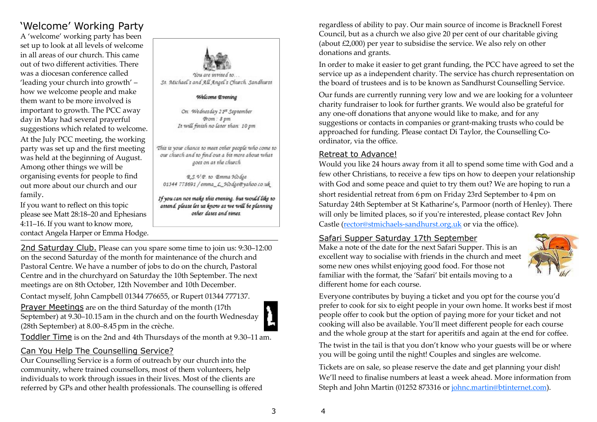## 'Welcome' Working Party

A 'welcome' working party has been set up to look at all levels of welcome in all areas of our church. This came out of two different activities. There was a diocesan conference called 'leading your church into growth' – how we welcome people and make them want to be more involved is important to growth. The PCC away day in May had several prayerful suggestions which related to welcome. At the July PCC meeting, the working party was set up and the first meeting was held at the beginning of August. Among other things we will be organising events for people to find out more about our church and our family.

If you want to reflect on this topic please see Matt 28:18–20 and Ephesians 4:11–16. If you want to know more, contact Angela Harper or Emma Hodge.



#### Welcome Evening

On: Wednesday 21st September From: 8 pm It will finish no later than: 10 pm

This is your chance to meet other people who come to our church and to find out a bit more about what goes on at the church

R.S.V.P. to Emma Hodge 01344 778691 / emma\_L\_Hodge@yahoo.co.uk

If you can not make this evening, but would like to attend, please let us know as we will be planning other dates and times.

2nd Saturday Club. Please can you spare some time to join us: 9:30–12:00 on the second Saturday of the month for maintenance of the church and Pastoral Centre. We have a number of jobs to do on the church, Pastoral Centre and in the churchyard on Saturday the 10th September. The next meetings are on 8th October, 12th November and 10th December.

Contact myself, John Campbell 01344 776655, or Rupert 01344 777137.

Prayer Meetings are on the third Saturday of the month (17th September) at 9.30–10.15 am in the church and on the fourth Wednesday (28th September) at 8.00–8.45pm in the crèche.



Toddler Time is on the 2nd and 4th Thursdays of the month at 9.30–11 am.

#### Can You Help The Counselling Service?

 Our Counselling Service is a form of outreach by our church into the community, where trained counsellors, most of them volunteers, help individuals to work through issues in their lives. Most of the clients are referred by GPs and other health professionals. The counselling is offered regardless of ability to pay. Our main source of income is Bracknell Forest Council, but as a church we also give 20 per cent of our charitable giving (about £2,000) per year to subsidise the service. We also rely on other donations and grants.

In order to make it easier to get grant funding, the PCC have agreed to set the service up as a independent charity. The service has church representation on the board of trustees and is to be known as Sandhurst Counselling Service.

Our funds are currently running very low and we are looking for a volunteer charity fundraiser to look for further grants. We would also be grateful for any one-off donations that anyone would like to make, and for any suggestions or contacts in companies or grant-making trusts who could be approached for funding. Please contact Di Taylor, the Counselling Coordinator, via the office.

#### Retreat to Advance!

 Would you like 24 hours away from it all to spend some time with God and a few other Christians, to receive a few tips on how to deepen your relationship with God and some peace and quiet to try them out? We are hoping to run a short residential retreat from 6pm on Friday 23rd September to 4pm on Saturday 24th September at St Katharine's, Parmoor (north of Henley). There will only be limited places, so if you're interested, please contact Rev John Castle (rector@stmichaels-sandhurst.org.uk or via the office).

#### Safari Supper Saturday 17th September

 Make a note of the date for the next Safari Supper. This is an excellent way to socialise with friends in the church and meet some new ones whilst enjoying good food. For those not familiar with the format, the 'Safari' bit entails moving to a different home for each course.



Everyone contributes by buying a ticket and you opt for the course you'd prefer to cook for six to eight people in your own home. It works best if most people offer to cook but the option of paying more for your ticket and not cooking will also be available. You'll meet different people for each course and the whole group at the start for aperitifs and again at the end for coffee.

The twist in the tail is that you don't know who your guests will be or where you will be going until the night! Couples and singles are welcome.

Tickets are on sale, so please reserve the date and get planning your dish! We'll need to finalise numbers at least a week ahead. More information from Steph and John Martin (01252 873316 or johnc.martin@btinternet.com).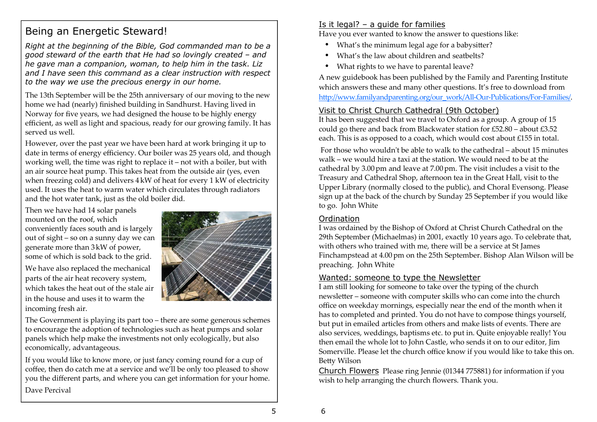## Being an Energetic Steward!

*Right at the beginning of the Bible, God commanded man to be a good steward of the earth that He had so lovingly created – and he gave man a companion, woman, to help him in the task. Liz and I have seen this command as a clear instruction with respect to the way we use the precious energy in our home.* 

The 13th September will be the 25th anniversary of our moving to the new home we had (nearly) finished building in Sandhurst. Having lived in Norway for five years, we had designed the house to be highly energy efficient, as well as light and spacious, ready for our growing family. It has served us well.

However, over the past year we have been hard at work bringing it up to date in terms of energy efficiency. Our boiler was 25 years old, and though working well, the time was right to replace it – not with a boiler, but with an air source heat pump. This takes heat from the outside air (yes, even when freezing cold) and delivers 4 kW of heat for every 1 kW of electricity used. It uses the heat to warm water which circulates through radiators and the hot water tank, just as the old boiler did.

Then we have had 14 solar panels mounted on the roof, which conveniently faces south and is largely out of sight – so on a sunny day we can generate more than 3kW of power, some of which is sold back to the grid.

We have also replaced the mechanical parts of the air heat recovery system, which takes the heat out of the stale air in the house and uses it to warm the incoming fresh air.



The Government is playing its part too – there are some generous schemes to encourage the adoption of technologies such as heat pumps and solar panels which help make the investments not only ecologically, but also economically, advantageous.

If you would like to know more, or just fancy coming round for a cup of coffee, then do catch me at a service and we'll be only too pleased to show you the different parts, and where you can get information for your home. Dave Percival

#### Is it legal?  $-$  a guide for families

Have you ever wanted to know the answer to questions like:

- What's the minimum legal age for a babysitter?
- What's the law about children and seatbelts?
- What rights to we have to parental leave?

A new guidebook has been published by the Family and Parenting Institute which answers these and many other questions. It's free to download from http://www.familyandparenting.org/our\_work/All-Our-Publications/For-Families/.

#### Visit to Christ Church Cathedral (9th October)

 It has been suggested that we travel to Oxford as a group. A group of 15 could go there and back from Blackwater station for £52.80 – about £3.52 each. This is as opposed to a coach, which would cost about £155 in total.

 For those who wouldnʹt be able to walk to the cathedral – about 15 minutes walk – we would hire a taxi at the station. We would need to be at the cathedral by 3.00 pm and leave at 7.00 pm. The visit includes a visit to the Treasury and Cathedral Shop, afternoon tea in the Great Hall, visit to the Upper Library (normally closed to the public), and Choral Evensong. Please sign up at the back of the church by Sunday 25 September if you would like to go. John White

#### **Ordination**

 I was ordained by the Bishop of Oxford at Christ Church Cathedral on the 29th September (Michaelmas) in 2001, exactly 10 years ago. To celebrate that, with others who trained with me, there will be a service at St James Finchampstead at 4.00 pm on the 25th September. Bishop Alan Wilson will be preaching. John White

#### Wanted: someone to type the Newsletter

 I am still looking for someone to take over the typing of the church newsletter – someone with computer skills who can come into the church office on weekday mornings, especially near the end of the month when it has to completed and printed. You do not have to compose things yourself, but put in emailed articles from others and make lists of events. There are also services, weddings, baptisms etc. to put in. Quite enjoyable really! You then email the whole lot to John Castle, who sends it on to our editor, Jim Somerville. Please let the church office know if you would like to take this on. Betty Wilson

Church Flowers Please ring Jennie (01344 775881) for information if you wish to help arranging the church flowers. Thank you.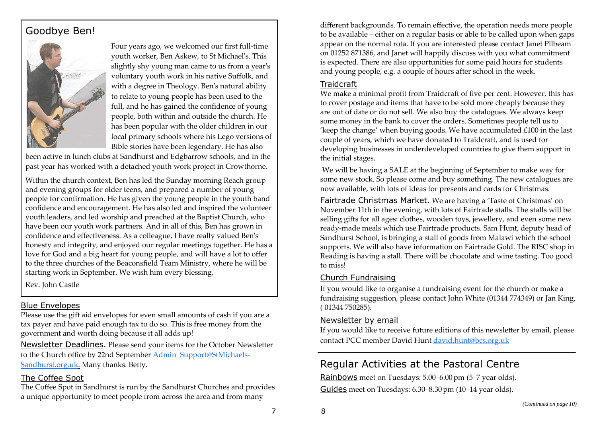## Goodbye Ben!



Four years ago, we welcomed our first full-time youth worker, Ben Askew, to St Michaelʹs. This slightly shy young man came to us from a yearʹs voluntary youth work in his native Suffolk, and with a degree in Theology. Benʹs natural ability to relate to young people has been used to the full, and he has gained the confidence of young people, both within and outside the church. He has been popular with the older children in our local primary schools where his Lego versions of Bible stories have been legendary. He has also

been active in lunch clubs at Sandhurst and Edgbarrow schools, and in the past year has worked with a detached youth work project in Crowthorne.

Within the church context, Ben has led the Sunday morning Reach group and evening groups for older teens, and prepared a number of young people for confirmation. He has given the young people in the youth band confidence and encouragement. He has also led and inspired the volunteer youth leaders, and led worship and preached at the Baptist Church, who have been our youth work partners. And in all of this, Ben has grown in confidence and effectiveness. As a colleague, I have really valued Benʹs honesty and integrity, and enjoyed our regular meetings together. He has a love for God and a big heart for young people, and will have a lot to offer to the three churches of the Beaconsfield Team Ministry, where he will be starting work in September. We wish him every blessing.

Rev. John Castle

#### Blue Envelopes

 Please use the gift aid envelopes for even small amounts of cash if you are a tax payer and have paid enough tax to do so. This is free money from the government and worth doing because it all adds up!

<u>Newsletter Deadlines</u>. Please send your items for the October Newsletter to the Church office by 22nd September Admin\_Support@StMichaels-Sandhurst.org.uk. Many thanks. Betty.

#### The Coffee Spot

 The Coffee Spot in Sandhurst is run by the Sandhurst Churches and provides a unique opportunity to meet people from across the area and from many

different backgrounds. To remain effective, the operation needs more people to be available – either on a regular basis or able to be called upon when gaps appear on the normal rota. If you are interested please contact Janet Pilbeam on 01252 871386, and Janet will happily discuss with you what commitment is expected. There are also opportunities for some paid hours for students and young people, e.g. a couple of hours after school in the week.

#### **Traidcraft**

 We make a minimal profit from Traidcraft of five per cent. However, this has to cover postage and items that have to be sold more cheaply because they are out of date or do not sell. We also buy the catalogues. We always keep some money in the bank to cover the orders. Sometimes people tell us to 'keep the change' when buying goods. We have accumulated £100 in the last couple of years, which we have donated to Traidcraft, and is used for developing businesses in underdeveloped countries to give them support in the initial stages.

 We will be having a SALE at the beginning of September to make way for some new stock. So please come and buy something. The new catalogues are now available, with lots of ideas for presents and cards for Christmas.

Fairtrade Christmas Market. We are having a 'Taste of Christmas' on November 11th in the evening, with lots of Fairtrade stalls. The stalls will be selling gifts for all ages: clothes, wooden toys, jewellery, and even some new ready-made meals which use Fairtrade products. Sam Hunt, deputy head of Sandhurst School, is bringing a stall of goods from Malawi which the school supports. We will also have information on Fairtrade Gold. The RISC shop in Reading is having a stall. There will be chocolate and wine tasting. Too good to miss!

#### Church Fundraising

If you would like to organise a fundraising event for the church or make a fundraising suggestion, please contact John White (01344 774349) or Jan King, ( 01344 750285).

#### Newsletter by email

If you would like to receive future editions of this newsletter by email, please contact PCC member David Hunt david.hunt@bcs.org.uk

## Regular Activities at the Pastoral Centre

Rainbows meet on Tuesdays: 5.00–6.00 pm (5–7 year olds). Guides meet on Tuesdays: 6.30–8.30pm (10–14 year olds).

8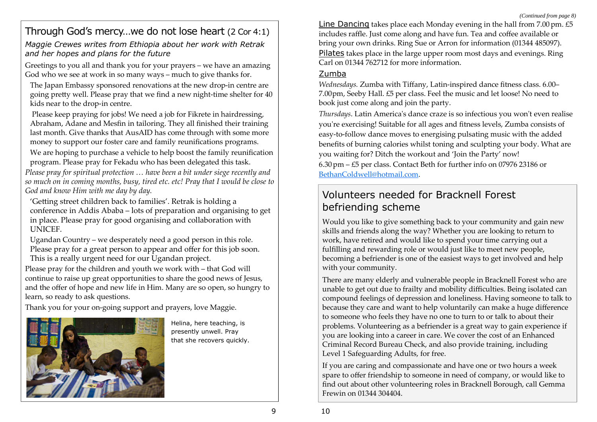## Through God's mercy…we do not lose heart (2 Cor 4:1)

*Maggie Crewes writes from Ethiopia about her work with Retrak and her hopes and plans for the future* 

Greetings to you all and thank you for your prayers – we have an amazing God who we see at work in so many ways – much to give thanks for.

The Japan Embassy sponsored renovations at the new drop-in centre are going pretty well. Please pray that we find a new night-time shelter for 40 kids near to the drop-in centre.

 Please keep praying for jobs! We need a job for Fikrete in hairdressing, Abraham, Adane and Mesfin in tailoring. They all finished their training last month. Give thanks that AusAID has come through with some more money to support our foster care and family reunifications programs.

We are hoping to purchase a vehicle to help boost the family reunification program. Please pray for Fekadu who has been delegated this task.

*Please pray for spiritual protection … have been a bit under siege recently and so much on in coming months, busy, tired etc. etc! Pray that I would be close to God and know Him with me day by day.* 

'Getting street children back to families'. Retrak is holding a conference in Addis Ababa – lots of preparation and organising to get in place. Please pray for good organising and collaboration with UNICEF.

Ugandan Country – we desperately need a good person in this role. Please pray for a great person to appear and offer for this job soon. This is a really urgent need for our Ugandan project.

Please pray for the children and youth we work with – that God will continue to raise up great opportunities to share the good news of Jesus, and the offer of hope and new life in Him. Many are so open, so hungry to learn, so ready to ask questions.

Thank you for your on-going support and prayers, love Maggie.



Helina, here teaching, is presently unwell. Pray that she recovers quickly. Line Dancing takes place each Monday evening in the hall from  $7.00 \text{ pm}$ .  $£5$ includes raffle. Just come along and have fun. Tea and coffee available or bring your own drinks. Ring Sue or Arron for information (01344 485097). Pilates takes place in the large upper room most days and evenings. Ring Carl on 01344 762712 for more information.

#### Zumba

*Wednesdays.* Zumba with Tiffany, Latin-inspired dance fitness class. 6.00– 7.00pm, Seeby Hall. £5 per class. Feel the music and let loose! No need to book just come along and join the party.

*Thursdays*. Latin Americaʹs dance craze is so infectious you wonʹt even realise youʹre exercising! Suitable for all ages and fitness levels, Zumba consists of easy-to-follow dance moves to energising pulsating music with the added benefits of burning calories whilst toning and sculpting your body. What are you waiting for? Ditch the workout and 'Join the Party' now! 6.30pm – £5 per class. Contact Beth for further info on 07976 23186 or BethanColdwell@hotmail.com.

## Volunteers needed for Bracknell Forest befriending scheme

Would you like to give something back to your community and gain new skills and friends along the way? Whether you are looking to return to work, have retired and would like to spend your time carrying out a fulfilling and rewarding role or would just like to meet new people, becoming a befriender is one of the easiest ways to get involved and help with your community.

There are many elderly and vulnerable people in Bracknell Forest who are unable to get out due to frailty and mobility difficulties. Being isolated can compound feelings of depression and loneliness. Having someone to talk to because they care and want to help voluntarily can make a huge difference to someone who feels they have no one to turn to or talk to about their problems. Volunteering as a befriender is a great way to gain experience if you are looking into a career in care. We cover the cost of an Enhanced Criminal Record Bureau Check, and also provide training, including Level 1 Safeguarding Adults, for free.

If you are caring and compassionate and have one or two hours a week spare to offer friendship to someone in need of company, or would like to find out about other volunteering roles in Bracknell Borough, call Gemma Frewin on 01344 304404.